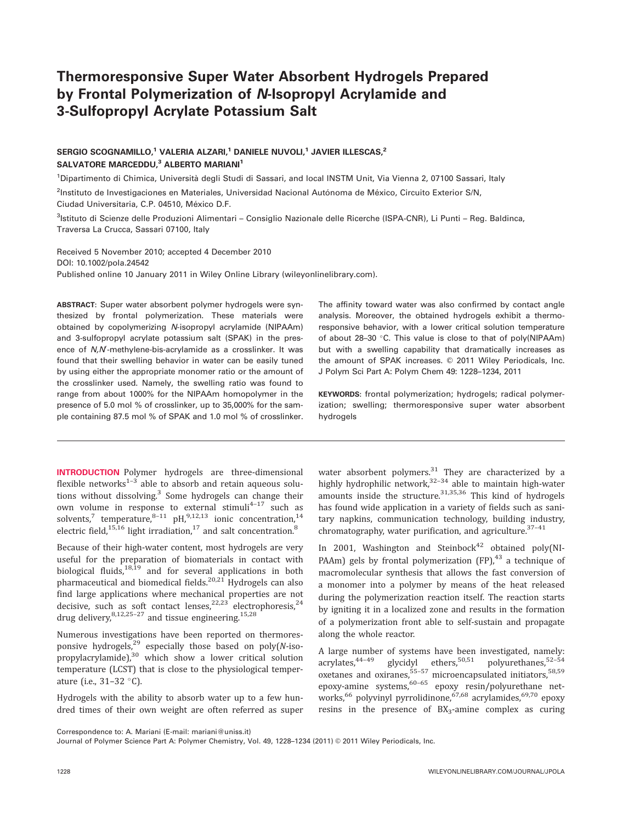# Thermoresponsive Super Water Absorbent Hydrogels Prepared by Frontal Polymerization of N-Isopropyl Acrylamide and 3-Sulfopropyl Acrylate Potassium Salt

# SERGIO SCOGNAMILLO,<sup>1</sup> VALERIA ALZARI,<sup>1</sup> DANIELE NUVOLI,<sup>1</sup> JAVIER ILLESCAS,<sup>2</sup> SALVATORE MARCEDDU,<sup>3</sup> ALBERTO MARIANI<sup>1</sup>

<sup>1</sup>Dipartimento di Chimica, Università degli Studi di Sassari, and local INSTM Unit, Via Vienna 2, 07100 Sassari, Italy

<sup>2</sup>Instituto de Investigaciones en Materiales, Universidad Nacional Autónoma de México, Circuito Exterior S/N, Ciudad Universitaria, C.P. 04510, México D.F.

<sup>3</sup>lstituto di Scienze delle Produzioni Alimentari – Consiglio Nazionale delle Ricerche (ISPA-CNR), Li Punti – Reg. Baldinca, Traversa La Crucca, Sassari 07100, Italy

Received 5 November 2010; accepted 4 December 2010 DOI: 10.1002/pola.24542 Published online 10 January 2011 in Wiley Online Library (wileyonlinelibrary.com).

ABSTRACT: Super water absorbent polymer hydrogels were synthesized by frontal polymerization. These materials were obtained by copolymerizing N-isopropyl acrylamide (NIPAAm) and 3-sulfopropyl acrylate potassium salt (SPAK) in the presence of N,N-methylene-bis-acrylamide as a crosslinker. It was found that their swelling behavior in water can be easily tuned by using either the appropriate monomer ratio or the amount of the crosslinker used. Namely, the swelling ratio was found to range from about 1000% for the NIPAAm homopolymer in the presence of 5.0 mol % of crosslinker, up to 35,000% for the sample containing 87.5 mol % of SPAK and 1.0 mol % of crosslinker.

INTRODUCTION Polymer hydrogels are three-dimensional flexible networks $1-3$  able to absorb and retain aqueous solutions without dissolving.<sup>3</sup> Some hydrogels can change their own volume in response to external stimuli $4-17$  such as solvents,<sup>7</sup> temperature,<sup>8–11</sup> pH,<sup>9,12,13</sup> ionic concentration,<sup>14</sup> electric field, $^{15,16}$  light irradiation, $^{17}$  and salt concentration. $^{8}$ 

Because of their high-water content, most hydrogels are very useful for the preparation of biomaterials in contact with biological fluids,<sup>18,19</sup> and for several applications in both pharmaceutical and biomedical fields.<sup>20,21</sup> Hydrogels can also find large applications where mechanical properties are not decisive, such as soft contact lenses,  $22,23$  electrophoresis,  $24$ drug delivery,  $8,12,25-27$  and tissue engineering.<sup>15,28</sup>

Numerous investigations have been reported on thermoresponsive hydrogels, $^{29}$  especially those based on poly(N-isopropylacrylamide), $30$  which show a lower critical solution temperature (LCST) that is close to the physiological temperature (i.e., 31-32 °C).

Hydrogels with the ability to absorb water up to a few hundred times of their own weight are often referred as super

The affinity toward water was also confirmed by contact angle analysis. Moreover, the obtained hydrogels exhibit a thermoresponsive behavior, with a lower critical solution temperature of about 28-30  $\degree$ C. This value is close to that of poly(NIPAAm) but with a swelling capability that dramatically increases as the amount of SPAK increases. © 2011 Wiley Periodicals, Inc. J Polym Sci Part A: Polym Chem 49: 1228–1234, 2011

KEYWORDS: frontal polymerization; hydrogels; radical polymerization; swelling; thermoresponsive super water absorbent hydrogels

water absorbent polymers. $31$  They are characterized by a highly hydrophilic network, $32-34$  able to maintain high-water amounts inside the structure. $31,35,36$  This kind of hydrogels has found wide application in a variety of fields such as sanitary napkins, communication technology, building industry, chromatography, water purification, and agriculture. $37-41$ 

In 2001, Washington and Steinbock<sup>42</sup> obtained poly(NI-PAAm) gels by frontal polymerization  $(FP)$ ,<sup>43</sup> a technique of macromolecular synthesis that allows the fast conversion of a monomer into a polymer by means of the heat released during the polymerization reaction itself. The reaction starts by igniting it in a localized zone and results in the formation of a polymerization front able to self-sustain and propagate along the whole reactor.

A large number of systems have been investigated, namely:<br>acrylates,  $5^{44-49}$  glycidyl ethers,  $5^{0,51}$  polyurethanes,  $5^{2-54}$ glycidyl ethers,<sup>50,51</sup> polyurethanes,<sup>52–54</sup>  $\alpha$  oxetanes and oxiranes,  $55-57$  microencapsulated initiators,  $58,59$ epoxy-amine systems,  $60-65$  epoxy resin/polyurethane networks,<sup>66</sup> polyvinyl pyrrolidinone,<sup>67,68</sup> acrylamides,<sup>69,70</sup> epoxy resins in the presence of  $BX_3$ -amine complex as curing

Journal of Polymer Science Part A: Polymer Chemistry, Vol. 49, 1228-1234 (2011) © 2011 Wiley Periodicals, Inc.

Correspondence to: A. Mariani (E-mail: mariani@uniss.it)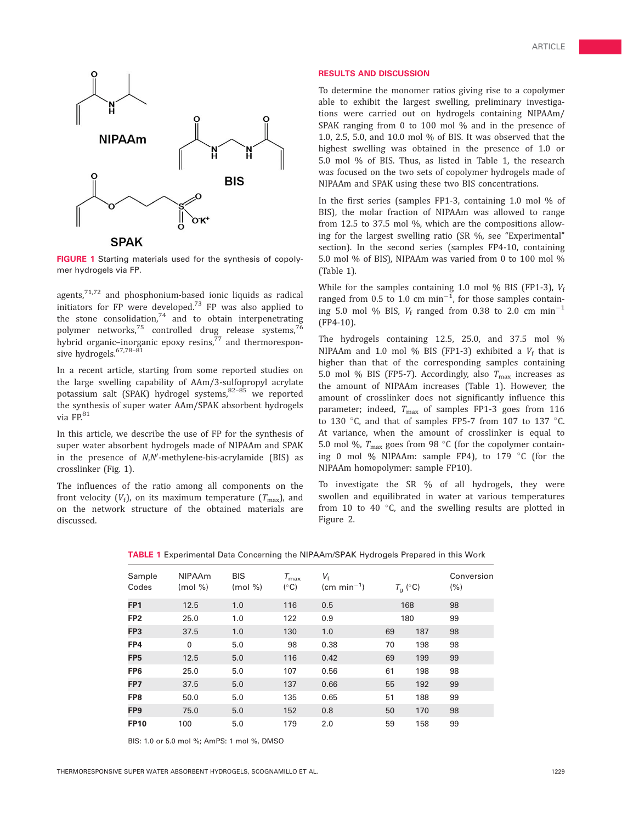

**SPAK** 

FIGURE 1 Starting materials used for the synthesis of copolymer hydrogels via FP.

agents,71,72 and phosphonium-based ionic liquids as radical agents,  $\frac{d}{dx}$  and  $\frac{d}{dx}$  and  $\frac{d}{dx}$  and  $\frac{d}{dx}$  and  $\frac{d}{dx}$  are developed.<sup>73</sup> FP was also applied to the stone consolidation, $74$  and to obtain interpenetrating polymer networks,<sup>75</sup> controlled drug release systems,<sup>7</sup> hybrid organic–inorganic epoxy resins, $^{77}$  and thermoresponsive hydrogels.<sup>67,78-81</sup>

In a recent article, starting from some reported studies on the large swelling capability of AAm/3-sulfopropyl acrylate potassium salt (SPAK) hydrogel systems, $82-85$  we reported the synthesis of super water AAm/SPAK absorbent hydrogels via FP.<sup>81</sup>

In this article, we describe the use of FP for the synthesis of super water absorbent hydrogels made of NIPAAm and SPAK in the presence of N,N'-methylene-bis-acrylamide (BIS) as crosslinker (Fig. 1).

The influences of the ratio among all components on the front velocity ( $V_f$ ), on its maximum temperature ( $T_{\text{max}}$ ), and on the network structure of the obtained materials are discussed.

#### RESULTS AND DISCUSSION

To determine the monomer ratios giving rise to a copolymer able to exhibit the largest swelling, preliminary investigations were carried out on hydrogels containing NIPAAm/ SPAK ranging from 0 to 100 mol % and in the presence of 1.0, 2.5, 5.0, and 10.0 mol % of BIS. It was observed that the highest swelling was obtained in the presence of 1.0 or 5.0 mol % of BIS. Thus, as listed in Table 1, the research was focused on the two sets of copolymer hydrogels made of NIPAAm and SPAK using these two BIS concentrations.

In the first series (samples FP1-3, containing 1.0 mol % of BIS), the molar fraction of NIPAAm was allowed to range from 12.5 to 37.5 mol %, which are the compositions allowing for the largest swelling ratio (SR %, see "Experimental" section). In the second series (samples FP4-10, containing 5.0 mol % of BIS), NIPAAm was varied from 0 to 100 mol % (Table 1).

While for the samples containing 1.0 mol % BIS (FP1-3),  $V_f$ ranged from 0.5 to 1.0 cm  $min^{-1}$ , for those samples containing 5.0 mol % BIS,  $V_{\rm f}$  ranged from 0.38 to 2.0  $\rm cm$   $\rm min^{-1}$ (FP4-10).

The hydrogels containing 12.5, 25.0, and 37.5 mol % NIPAAm and 1.0 mol % BIS (FP1-3) exhibited a  $V_f$  that is higher than that of the corresponding samples containing 5.0 mol % BIS (FP5-7). Accordingly, also  $T_{\text{max}}$  increases as the amount of NIPAAm increases (Table 1). However, the amount of crosslinker does not significantly influence this parameter; indeed,  $T_{\text{max}}$  of samples FP1-3 goes from 116 to 130 °C, and that of samples FP5-7 from 107 to 137 °C. At variance, when the amount of crosslinker is equal to 5.0 mol %,  $T_{\text{max}}$  goes from 98 °C (for the copolymer containing 0 mol % NIPAAm: sample FP4), to 179 °C (for the NIPAAm homopolymer: sample FP10).

To investigate the SR % of all hydrogels, they were swollen and equilibrated in water at various temperatures from 10 to 40 $\degree$ C, and the swelling results are plotted in Figure 2.

| Sample<br>Codes | <b>NIPAAm</b><br>$(mod \% )$ | <b>BIS</b><br>(mod %) | $T_{\rm max}$<br>$(^\circ C)$ | $V_{\rm f}$<br>$\text{(cm min}^{-1})$ | $T_{\rm q}$ (°C) |     | Conversion<br>(% ) |
|-----------------|------------------------------|-----------------------|-------------------------------|---------------------------------------|------------------|-----|--------------------|
| FP <sub>1</sub> | 12.5                         | 1.0                   | 116                           | 0.5                                   | 168              |     | 98                 |
| FP <sub>2</sub> | 25.0                         | 1.0                   | 122                           | 0.9                                   | 180              |     | 99                 |
| FP3             | 37.5                         | 1.0                   | 130                           | 1.0                                   | 69               | 187 | 98                 |
| FP4             | $\mathbf 0$                  | 5.0                   | 98                            | 0.38                                  | 70               | 198 | 98                 |
| FP <sub>5</sub> | 12.5                         | 5.0                   | 116                           | 0.42                                  | 69               | 199 | 99                 |
| FP <sub>6</sub> | 25.0                         | 5.0                   | 107                           | 0.56                                  | 61               | 198 | 98                 |
| FP7             | 37.5                         | 5.0                   | 137                           | 0.66                                  | 55               | 192 | 99                 |
| FP8             | 50.0                         | 5.0                   | 135                           | 0.65                                  | 51               | 188 | 99                 |
| FP <sub>9</sub> | 75.0                         | 5.0                   | 152                           | 0.8                                   | 50               | 170 | 98                 |
| <b>FP10</b>     | 100                          | 5.0                   | 179                           | 2.0                                   | 59               | 158 | 99                 |

TABLE 1 Experimental Data Concerning the NIPAAm/SPAK Hydrogels Prepared in this Work

BIS: 1.0 or 5.0 mol %; AmPS: 1 mol %, DMSO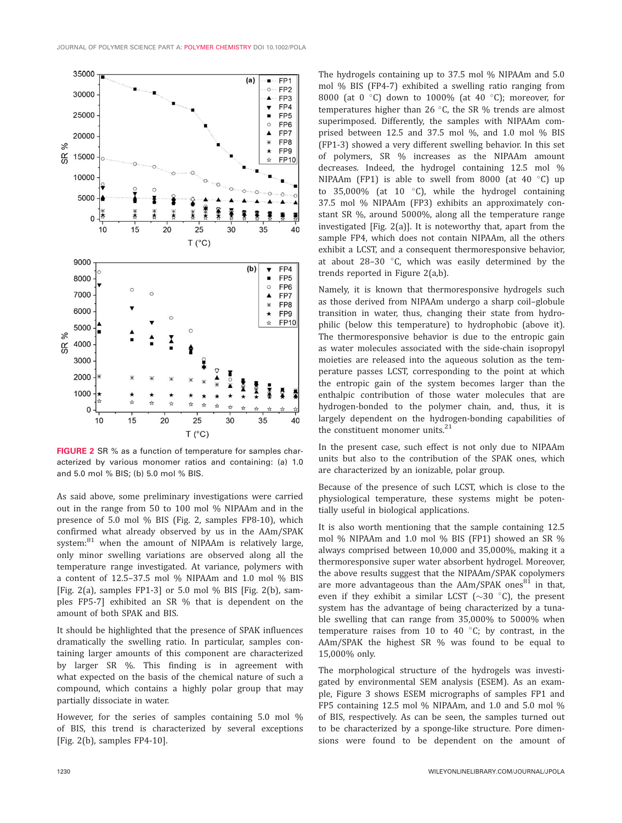

FIGURE 2 SR % as a function of temperature for samples characterized by various monomer ratios and containing: (a) 1.0 and 5.0 mol % BIS; (b) 5.0 mol % BIS.

As said above, some preliminary investigations were carried out in the range from 50 to 100 mol % NIPAAm and in the presence of 5.0 mol % BIS (Fig. 2, samples FP8-10), which confirmed what already observed by us in the AAm/SPAK system: $81$  when the amount of NIPAAm is relatively large, only minor swelling variations are observed along all the temperature range investigated. At variance, polymers with a content of 12.5–37.5 mol % NIPAAm and 1.0 mol % BIS [Fig. 2(a), samples FP1-3] or 5.0 mol  $%$  BIS [Fig. 2(b), samples FP5-7] exhibited an SR % that is dependent on the amount of both SPAK and BIS.

It should be highlighted that the presence of SPAK influences dramatically the swelling ratio. In particular, samples containing larger amounts of this component are characterized by larger SR %. This finding is in agreement with what expected on the basis of the chemical nature of such a compound, which contains a highly polar group that may partially dissociate in water.

However, for the series of samples containing 5.0 mol % of BIS, this trend is characterized by several exceptions [Fig. 2(b), samples FP4-10].

The hydrogels containing up to 37.5 mol % NIPAAm and 5.0 mol % BIS (FP4-7) exhibited a swelling ratio ranging from 8000 (at 0  $\degree$ C) down to 1000% (at 40  $\degree$ C); moreover, for temperatures higher than 26  $\degree$ C, the SR % trends are almost superimposed. Differently, the samples with NIPAAm comprised between 12.5 and 37.5 mol %, and 1.0 mol % BIS (FP1-3) showed a very different swelling behavior. In this set of polymers, SR % increases as the NIPAAm amount decreases. Indeed, the hydrogel containing 12.5 mol % NIPAAm (FP1) is able to swell from 8000 (at 40  $^{\circ}$ C) up to 35,000% (at 10  $^{\circ}$ C), while the hydrogel containing 37.5 mol % NIPAAm (FP3) exhibits an approximately constant SR %, around 5000%, along all the temperature range investigated [Fig. 2(a)]. It is noteworthy that, apart from the sample FP4, which does not contain NIPAAm, all the others exhibit a LCST, and a consequent thermoresponsive behavior, at about  $28-30$  °C, which was easily determined by the trends reported in Figure 2(a,b).

Namely, it is known that thermoresponsive hydrogels such as those derived from NIPAAm undergo a sharp coil–globule transition in water, thus, changing their state from hydrophilic (below this temperature) to hydrophobic (above it). The thermoresponsive behavior is due to the entropic gain as water molecules associated with the side-chain isopropyl moieties are released into the aqueous solution as the temperature passes LCST, corresponding to the point at which the entropic gain of the system becomes larger than the enthalpic contribution of those water molecules that are hydrogen-bonded to the polymer chain, and, thus, it is largely dependent on the hydrogen-bonding capabilities of the constituent monomer units.<sup>21</sup>

In the present case, such effect is not only due to NIPAAm units but also to the contribution of the SPAK ones, which are characterized by an ionizable, polar group.

Because of the presence of such LCST, which is close to the physiological temperature, these systems might be potentially useful in biological applications.

It is also worth mentioning that the sample containing 12.5 mol % NIPAAm and 1.0 mol % BIS (FP1) showed an SR % always comprised between 10,000 and 35,000%, making it a thermoresponsive super water absorbent hydrogel. Moreover, the above results suggest that the NIPAAm/SPAK copolymers are more advantageous than the  $AAm/SPAK$  ones<sup>81</sup> in that, even if they exhibit a similar LCST  $(\sim 30$  °C), the present system has the advantage of being characterized by a tunable swelling that can range from 35,000% to 5000% when temperature raises from 10 to 40  $^{\circ}$ C; by contrast, in the AAm/SPAK the highest SR % was found to be equal to 15,000% only.

The morphological structure of the hydrogels was investigated by environmental SEM analysis (ESEM). As an example, Figure 3 shows ESEM micrographs of samples FP1 and FP5 containing 12.5 mol % NIPAAm, and 1.0 and 5.0 mol % of BIS, respectively. As can be seen, the samples turned out to be characterized by a sponge-like structure. Pore dimensions were found to be dependent on the amount of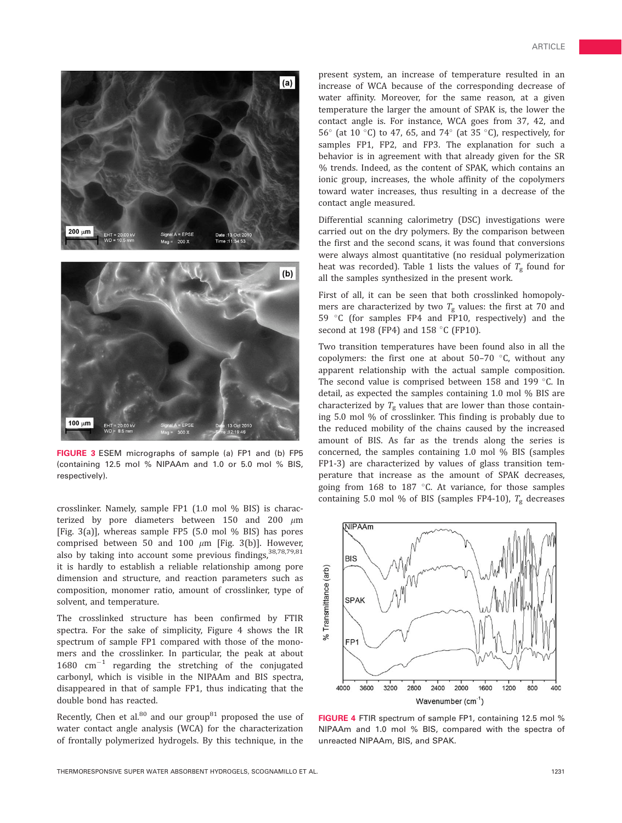

FIGURE 3 ESEM micrographs of sample (a) FP1 and (b) FP5 (containing 12.5 mol % NIPAAm and 1.0 or 5.0 mol % BIS, respectively).

crosslinker. Namely, sample FP1 (1.0 mol % BIS) is characterized by pore diameters between 150 and 200  $\mu$ m [Fig. 3(a)], whereas sample FP5 (5.0 mol % BIS) has pores comprised between 50 and 100  $\mu$ m [Fig. 3(b)]. However, also by taking into account some previous findings, 38,78,79,81 it is hardly to establish a reliable relationship among pore dimension and structure, and reaction parameters such as composition, monomer ratio, amount of crosslinker, type of solvent, and temperature.

The crosslinked structure has been confirmed by FTIR spectra. For the sake of simplicity, Figure 4 shows the IR spectrum of sample FP1 compared with those of the monomers and the crosslinker. In particular, the peak at about  $1680$   $cm^{-1}$  regarding the stretching of the conjugated carbonyl, which is visible in the NIPAAm and BIS spectra, disappeared in that of sample FP1, thus indicating that the double bond has reacted.

Recently, Chen et al. $80$  and our group $81$  proposed the use of water contact angle analysis (WCA) for the characterization of frontally polymerized hydrogels. By this technique, in the

present system, an increase of temperature resulted in an increase of WCA because of the corresponding decrease of water affinity. Moreover, for the same reason, at a given temperature the larger the amount of SPAK is, the lower the contact angle is. For instance, WCA goes from 37, 42, and 56 $^{\circ}$  (at 10  $^{\circ}$ C) to 47, 65, and 74 $^{\circ}$  (at 35  $^{\circ}$ C), respectively, for samples FP1, FP2, and FP3. The explanation for such a behavior is in agreement with that already given for the SR % trends. Indeed, as the content of SPAK, which contains an ionic group, increases, the whole affinity of the copolymers toward water increases, thus resulting in a decrease of the contact angle measured.

Differential scanning calorimetry (DSC) investigations were carried out on the dry polymers. By the comparison between the first and the second scans, it was found that conversions were always almost quantitative (no residual polymerization heat was recorded). Table 1 lists the values of  $T_g$  found for all the samples synthesized in the present work.

First of all, it can be seen that both crosslinked homopolymers are characterized by two  $T_{\rm g}$  values: the first at 70 and 59  $°C$  (for samples FP4 and FP10, respectively) and the second at 198 (FP4) and 158  $\degree$ C (FP10).

Two transition temperatures have been found also in all the copolymers: the first one at about  $50-70$  °C, without any apparent relationship with the actual sample composition. The second value is comprised between 158 and 199 $\degree$ C. In detail, as expected the samples containing 1.0 mol % BIS are characterized by  $T_g$  values that are lower than those containing 5.0 mol % of crosslinker. This finding is probably due to the reduced mobility of the chains caused by the increased amount of BIS. As far as the trends along the series is concerned, the samples containing 1.0 mol % BIS (samples FP1-3) are characterized by values of glass transition temperature that increase as the amount of SPAK decreases, going from  $168$  to  $187$  °C. At variance, for those samples containing 5.0 mol % of BIS (samples FP4-10),  $T_g$  decreases



FIGURE 4 FTIR spectrum of sample FP1, containing 12.5 mol % NIPAAm and 1.0 mol % BIS, compared with the spectra of unreacted NIPAAm, BIS, and SPAK.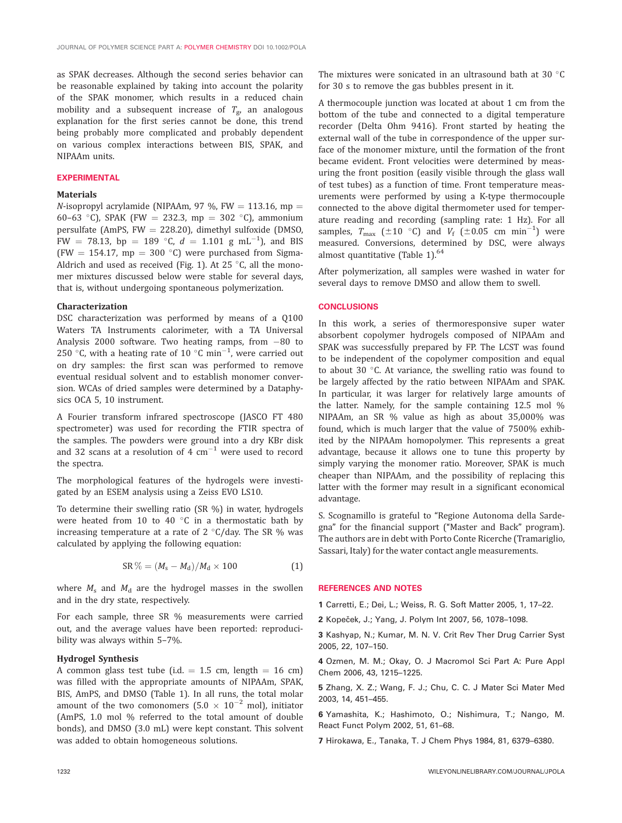as SPAK decreases. Although the second series behavior can be reasonable explained by taking into account the polarity of the SPAK monomer, which results in a reduced chain mobility and a subsequent increase of  $T_{\rm g}$ , an analogous explanation for the first series cannot be done, this trend being probably more complicated and probably dependent on various complex interactions between BIS, SPAK, and NIPAAm units.

### EXPERIMENTAL

#### Materials

N-isopropyl acrylamide (NIPAAm, 97 %, FW = 113.16, mp = 60–63 °C), SPAK (FW = 232.3, mp = 302 °C), ammonium persulfate (AmPS, FW  $= 228.20$ ), dimethyl sulfoxide (DMSO, FW = 78.13, bp = 189 °C,  $d = 1.101$  g mL<sup>-1</sup>), and BIS (FW = 154.17, mp = 300 °C) were purchased from Sigma-Aldrich and used as received (Fig. 1). At 25  $\degree$ C, all the monomer mixtures discussed below were stable for several days, that is, without undergoing spontaneous polymerization.

#### Characterization

DSC characterization was performed by means of a Q100 Waters TA Instruments calorimeter, with a TA Universal Analysis 2000 software. Two heating ramps, from -80 to 250 °C, with a heating rate of 10 °C min<sup>-1</sup>, were carried out on dry samples: the first scan was performed to remove eventual residual solvent and to establish monomer conversion. WCAs of dried samples were determined by a Dataphysics OCA 5, 10 instrument.

A Fourier transform infrared spectroscope (JASCO FT 480 spectrometer) was used for recording the FTIR spectra of the samples. The powders were ground into a dry KBr disk and 32 scans at a resolution of 4  $\rm cm^{-1}$  were used to record the spectra.

The morphological features of the hydrogels were investigated by an ESEM analysis using a Zeiss EVO LS10.

To determine their swelling ratio (SR %) in water, hydrogels were heated from 10 to 40 $\degree$ C in a thermostatic bath by increasing temperature at a rate of  $2^{\circ}$ C/day. The SR % was calculated by applying the following equation:

$$
SR\% = (M_s - M_d)/M_d \times 100\tag{1}
$$

where  $M_s$  and  $M_d$  are the hydrogel masses in the swollen and in the dry state, respectively.

For each sample, three SR % measurements were carried out, and the average values have been reported: reproducibility was always within 5–7%.

## Hydrogel Synthesis

A common glass test tube (i.d.  $= 1.5$  cm, length  $= 16$  cm) was filled with the appropriate amounts of NIPAAm, SPAK, BIS, AmPS, and DMSO (Table 1). In all runs, the total molar amount of the two comonomers  $(5.0 \times 10^{-2} \text{ mol})$ , initiator (AmPS, 1.0 mol % referred to the total amount of double bonds), and DMSO (3.0 mL) were kept constant. This solvent was added to obtain homogeneous solutions.

The mixtures were sonicated in an ultrasound bath at 30 $\degree$ C for 30 s to remove the gas bubbles present in it.

A thermocouple junction was located at about 1 cm from the bottom of the tube and connected to a digital temperature recorder (Delta Ohm 9416). Front started by heating the external wall of the tube in correspondence of the upper surface of the monomer mixture, until the formation of the front became evident. Front velocities were determined by measuring the front position (easily visible through the glass wall of test tubes) as a function of time. Front temperature measurements were performed by using a K-type thermocouple connected to the above digital thermometer used for temperature reading and recording (sampling rate: 1 Hz). For all samples,  $T_{\text{max}}$  ( $\pm 10^{-\circ}$ C) and  $V_{\text{f}}$  ( $\pm 0.05$  cm  $\text{min}^{-1}$ ) were measured. Conversions, determined by DSC, were always almost quantitative (Table 1).<sup>64</sup>

After polymerization, all samples were washed in water for several days to remove DMSO and allow them to swell.

#### **CONCLUSIONS**

In this work, a series of thermoresponsive super water absorbent copolymer hydrogels composed of NIPAAm and SPAK was successfully prepared by FP. The LCST was found to be independent of the copolymer composition and equal to about 30  $\degree$ C. At variance, the swelling ratio was found to be largely affected by the ratio between NIPAAm and SPAK. In particular, it was larger for relatively large amounts of the latter. Namely, for the sample containing 12.5 mol % NIPAAm, an SR % value as high as about 35,000% was found, which is much larger that the value of 7500% exhibited by the NIPAAm homopolymer. This represents a great advantage, because it allows one to tune this property by simply varying the monomer ratio. Moreover, SPAK is much cheaper than NIPAAm, and the possibility of replacing this latter with the former may result in a significant economical advantage.

S. Scognamillo is grateful to ''Regione Autonoma della Sardegna'' for the financial support (''Master and Back'' program). The authors are in debt with Porto Conte Ricerche (Tramariglio, Sassari, Italy) for the water contact angle measurements.

## REFERENCES AND NOTES

1 Carretti, E.; Dei, L.; Weiss, R. G. Soft Matter 2005, 1, 17–22.

2 Kopeček, J.; Yang, J. Polym Int 2007, 56, 1078-1098.

3 Kashyap, N.; Kumar, M. N. V. Crit Rev Ther Drug Carrier Syst 2005, 22, 107–150.

4 Ozmen, M. M.; Okay, O. J Macromol Sci Part A: Pure Appl Chem 2006, 43, 1215–1225.

5 Zhang, X. Z.; Wang, F. J.; Chu, C. C. J Mater Sci Mater Med 2003, 14, 451–455.

6 Yamashita, K.; Hashimoto, O.; Nishimura, T.; Nango, M. React Funct Polym 2002, 51, 61–68.

7 Hirokawa, E., Tanaka, T. J Chem Phys 1984, 81, 6379–6380.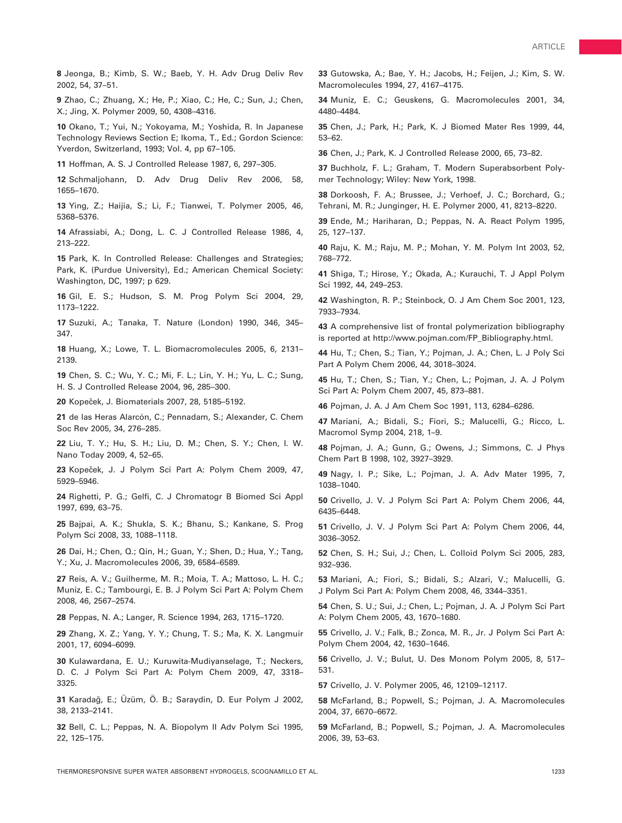8 Jeonga, B.; Kimb, S. W.; Baeb, Y. H. Adv Drug Deliv Rev 2002, 54, 37–51.

9 Zhao, C.; Zhuang, X.; He, P.; Xiao, C.; He, C.; Sun, J.; Chen, X.; Jing, X. Polymer 2009, 50, 4308–4316.

10 Okano, T.; Yui, N.; Yokoyama, M.; Yoshida, R. In Japanese Technology Reviews Section E; Ikoma, T., Ed.; Gordon Science: Yverdon, Switzerland, 1993; Vol. 4, pp 67–105.

11 Hoffman, A. S. J Controlled Release 1987, 6, 297–305.

12 Schmaljohann, D. Adv Drug Deliv Rev 2006, 58, 1655–1670.

13 Ying, Z.; Haijia, S.; Li, F.; Tianwei, T. Polymer 2005, 46, 5368–5376.

14 Afrassiabi, A.; Dong, L. C. J Controlled Release 1986, 4, 213–222.

15 Park, K. In Controlled Release: Challenges and Strategies; Park, K. (Purdue University), Ed.; American Chemical Society: Washington, DC, 1997; p 629.

16 Gil, E. S.; Hudson, S. M. Prog Polym Sci 2004, 29, 1173–1222.

17 Suzuki, A.; Tanaka, T. Nature (London) 1990, 346, 345– 347.

18 Huang, X.; Lowe, T. L. Biomacromolecules 2005, 6, 2131– 2139.

19 Chen, S. C.; Wu, Y. C.; Mi, F. L.; Lin, Y. H.; Yu, L. C.; Sung, H. S. J Controlled Release 2004, 96, 285–300.

20 Kopeček, J. Biomaterials 2007, 28, 5185-5192.

21 de las Heras Alarcón, C.; Pennadam, S.; Alexander, C. Chem Soc Rev 2005, 34, 276–285.

22 Liu, T. Y.; Hu, S. H.; Liu, D. M.; Chen, S. Y.; Chen, I. W. Nano Today 2009, 4, 52–65.

23 Kopeček, J. J Polym Sci Part A: Polym Chem 2009, 47, 5929–5946.

24 Righetti, P. G.; Gelfi, C. J Chromatogr B Biomed Sci Appl 1997, 699, 63–75.

25 Bajpai, A. K.; Shukla, S. K.; Bhanu, S.; Kankane, S. Prog Polym Sci 2008, 33, 1088–1118.

26 Dai, H.; Chen, Q.; Qin, H.; Guan, Y.; Shen, D.; Hua, Y.; Tang, Y.; Xu, J. Macromolecules 2006, 39, 6584–6589.

27 Reis, A. V.; Guilherme, M. R.; Moia, T. A.; Mattoso, L. H. C.; Muniz, E. C.; Tambourgi, E. B. J Polym Sci Part A: Polym Chem 2008, 46, 2567–2574.

28 Peppas, N. A.; Langer, R. Science 1994, 263, 1715–1720.

29 Zhang, X. Z.; Yang, Y. Y.; Chung, T. S.; Ma, K. X. Langmuir 2001, 17, 6094–6099.

30 Kulawardana, E. U.; Kuruwita-Mudiyanselage, T.; Neckers, D. C. J Polym Sci Part A: Polym Chem 2009, 47, 3318– 3325.

31 Karadağ, E.; Üzüm, Ö. B.; Saraydin, D. Eur Polym J 2002, 38, 2133–2141.

32 Bell, C. L.; Peppas, N. A. Biopolym II Adv Polym Sci 1995, 22, 125–175.

33 Gutowska, A.; Bae, Y. H.; Jacobs, H.; Feijen, J.; Kim, S. W. Macromolecules 1994, 27, 4167–4175.

34 Muniz, E. C.; Geuskens, G. Macromolecules 2001, 34, 4480–4484.

35 Chen, J.; Park, H.; Park, K. J Biomed Mater Res 1999, 44, 53–62.

36 Chen, J.; Park, K. J Controlled Release 2000, 65, 73–82.

37 Buchholz, F. L.; Graham, T. Modern Superabsorbent Polymer Technology; Wiley: New York, 1998.

38 Dorkoosh, F. A.; Brussee, J.; Verhoef, J. C.; Borchard, G.; Tehrani, M. R.; Junginger, H. E. Polymer 2000, 41, 8213–8220.

39 Ende, M.; Hariharan, D.; Peppas, N. A. React Polym 1995, 25, 127–137.

40 Raju, K. M.; Raju, M. P.; Mohan, Y. M. Polym Int 2003, 52, 768–772.

41 Shiga, T.; Hirose, Y.; Okada, A.; Kurauchi, T. J Appl Polym Sci 1992, 44, 249–253.

42 Washington, R. P.; Steinbock, O. J Am Chem Soc 2001, 123, 7933–7934.

43 A comprehensive list of frontal polymerization bibliography is reported at http://www.pojman.com/FP\_Bibliography.html.

44 Hu, T.; Chen, S.; Tian, Y.; Pojman, J. A.; Chen, L. J Poly Sci Part A Polym Chem 2006, 44, 3018–3024.

45 Hu, T.; Chen, S.; Tian, Y.; Chen, L.; Pojman, J. A. J Polym Sci Part A: Polym Chem 2007, 45, 873–881.

46 Pojman, J. A. J Am Chem Soc 1991, 113, 6284–6286.

47 Mariani, A.; Bidali, S.; Fiori, S.; Malucelli, G.; Ricco, L. Macromol Symp 2004, 218, 1–9.

48 Pojman, J. A.; Gunn, G.; Owens, J.; Simmons, C. J Phys Chem Part B 1998, 102, 3927–3929.

49 Nagy, I. P.; Sike, L.; Pojman, J. A. Adv Mater 1995, 7, 1038–1040.

50 Crivello, J. V. J Polym Sci Part A: Polym Chem 2006, 44, 6435–6448.

51 Crivello, J. V. J Polym Sci Part A: Polym Chem 2006, 44, 3036–3052.

52 Chen, S. H.; Sui, J.; Chen, L. Colloid Polym Sci 2005, 283, 932–936.

53 Mariani, A.; Fiori, S.; Bidali, S.; Alzari, V.; Malucelli, G. J Polym Sci Part A: Polym Chem 2008, 46, 3344–3351.

54 Chen, S. U.; Sui, J.; Chen, L.; Pojman, J. A. J Polym Sci Part A: Polym Chem 2005, 43, 1670–1680.

55 Crivello, J. V.; Falk, B.; Zonca, M. R., Jr. J Polym Sci Part A: Polym Chem 2004, 42, 1630–1646.

56 Crivello, J. V.; Bulut, U. Des Monom Polym 2005, 8, 517– 531.

57 Crivello, J. V. Polymer 2005, 46, 12109–12117.

58 McFarland, B.; Popwell, S.; Pojman, J. A. Macromolecules 2004, 37, 6670–6672.

59 McFarland, B.; Popwell, S.; Pojman, J. A. Macromolecules 2006, 39, 53–63.